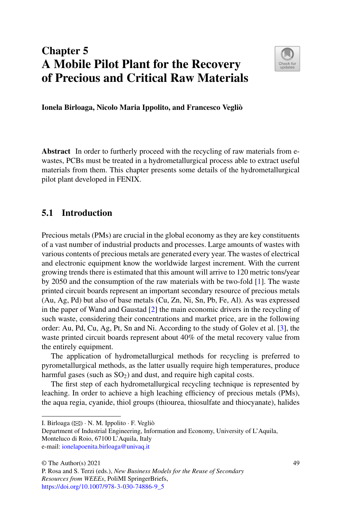# **Chapter 5 A Mobile Pilot Plant for the Recovery of Precious and Critical Raw Materials**



**Ionela Birloaga, Nicolo Maria Ippolito, and Francesco Vegliò**

**Abstract** In order to furtherly proceed with the recycling of raw materials from ewastes, PCBs must be treated in a hydrometallurgical process able to extract useful materials from them. This chapter presents some details of the hydrometallurgical pilot plant developed in FENIX.

# **5.1 Introduction**

Precious metals (PMs) are crucial in the global economy as they are key constituents of a vast number of industrial products and processes. Large amounts of wastes with various contents of precious metals are generated every year. The wastes of electrical and electronic equipment know the worldwide largest increment. With the current growing trends there is estimated that this amount will arrive to 120 metric tons/year by 2050 and the consumption of the raw materials with be two-fold [\[1\]](#page-14-0). The waste printed circuit boards represent an important secondary resource of precious metals (Au, Ag, Pd) but also of base metals (Cu, Zn, Ni, Sn, Pb, Fe, Al). As was expressed in the paper of Wand and Gaustad [\[2\]](#page-14-1) the main economic drivers in the recycling of such waste, considering their concentrations and market price, are in the following order: Au, Pd, Cu, Ag, Pt, Sn and Ni. According to the study of Golev et al. [\[3\]](#page-14-2), the waste printed circuit boards represent about 40% of the metal recovery value from the entirely equipment.

The application of hydrometallurgical methods for recycling is preferred to pyrometallurgical methods, as the latter usually require high temperatures, produce harmful gases (such as  $SO<sub>2</sub>$ ) and dust, and require high capital costs.

The first step of each hydrometallurgical recycling technique is represented by leaching. In order to achieve a high leaching efficiency of precious metals (PMs), the aqua regia, cyanide, thiol groups (thiourea, thiosulfate and thiocyanate), halides

I. Birloaga  $(\boxtimes) \cdot N$ . M. Ippolito  $\cdot$  F. Vegliò

Department of Industrial Engineering, Information and Economy, University of L'Aquila, Monteluco di Roio, 67100 L'Aquila, Italy e-mail: [ionelapoenita.birloaga@univaq.it](mailto:ionelapoenita.birloaga@univaq.it)

<sup>©</sup> The Author(s) 2021

P. Rosa and S. Terzi (eds.), *New Business Models for the Reuse of Secondary Resources from WEEEs*, PoliMI SpringerBriefs,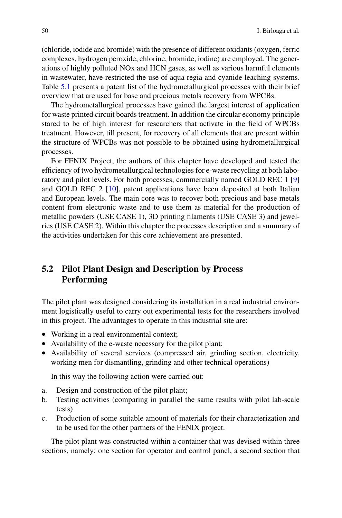(chloride, iodide and bromide) with the presence of different oxidants (oxygen, ferric complexes, hydrogen peroxide, chlorine, bromide, iodine) are employed. The generations of highly polluted NOx and HCN gases, as well as various harmful elements in wastewater, have restricted the use of aqua regia and cyanide leaching systems. Table [5.1](#page-2-0) presents a patent list of the hydrometallurgical processes with their brief overview that are used for base and precious metals recovery from WPCBs.

The hydrometallurgical processes have gained the largest interest of application for waste printed circuit boards treatment. In addition the circular economy principle stared to be of high interest for researchers that activate in the field of WPCBs treatment. However, till present, for recovery of all elements that are present within the structure of WPCBs was not possible to be obtained using hydrometallurgical processes.

For FENIX Project, the authors of this chapter have developed and tested the efficiency of two hydrometallurgical technologies for e-waste recycling at both laboratory and pilot levels. For both processes, commercially named GOLD REC 1 [\[9\]](#page-14-3) and GOLD REC 2 [\[10\]](#page-14-4), patent applications have been deposited at both Italian and European levels. The main core was to recover both precious and base metals content from electronic waste and to use them as material for the production of metallic powders (USE CASE 1), 3D printing filaments (USE CASE 3) and jewelries (USE CASE 2). Within this chapter the processes description and a summary of the activities undertaken for this core achievement are presented.

# **5.2 Pilot Plant Design and Description by Process Performing**

The pilot plant was designed considering its installation in a real industrial environment logistically useful to carry out experimental tests for the researchers involved in this project. The advantages to operate in this industrial site are:

- Working in a real environmental context;
- Availability of the e-waste necessary for the pilot plant;
- Availability of several services (compressed air, grinding section, electricity, working men for dismantling, grinding and other technical operations)

In this way the following action were carried out:

- a. Design and construction of the pilot plant;
- b. Testing activities (comparing in parallel the same results with pilot lab-scale tests)
- c. Production of some suitable amount of materials for their characterization and to be used for the other partners of the FENIX project.

The pilot plant was constructed within a container that was devised within three sections, namely: one section for operator and control panel, a second section that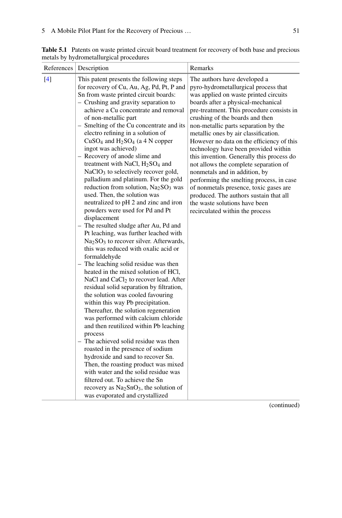| References | Description                                                                                                                                                                                                                                                                                                                                                                                                                                                                                                                                                                                                                                                                                                                                                                                                                                                                                                                                                                                                                                                                                                                                                                                                                                                                                                                                                                                                                                                                                                                                                                                                                                                | Remarks                                                                                                                                                                                                                                                                                                                                                                                                                                                                                                                                                                                                                                                                                                                             |
|------------|------------------------------------------------------------------------------------------------------------------------------------------------------------------------------------------------------------------------------------------------------------------------------------------------------------------------------------------------------------------------------------------------------------------------------------------------------------------------------------------------------------------------------------------------------------------------------------------------------------------------------------------------------------------------------------------------------------------------------------------------------------------------------------------------------------------------------------------------------------------------------------------------------------------------------------------------------------------------------------------------------------------------------------------------------------------------------------------------------------------------------------------------------------------------------------------------------------------------------------------------------------------------------------------------------------------------------------------------------------------------------------------------------------------------------------------------------------------------------------------------------------------------------------------------------------------------------------------------------------------------------------------------------------|-------------------------------------------------------------------------------------------------------------------------------------------------------------------------------------------------------------------------------------------------------------------------------------------------------------------------------------------------------------------------------------------------------------------------------------------------------------------------------------------------------------------------------------------------------------------------------------------------------------------------------------------------------------------------------------------------------------------------------------|
| $[4]$      | This patent presents the following steps<br>for recovery of Cu, Au, Ag, Pd, Pt, P and<br>Sn from waste printed circuit boards:<br>- Crushing and gravity separation to<br>achieve a Cu concentrate and removal<br>of non-metallic part<br>- Smelting of the Cu concentrate and its<br>electro refining in a solution of<br>$CuSO4$ and $H2SO4$ (a 4 N copper<br>ingot was achieved)<br>- Recovery of anode slime and<br>treatment with NaCl, $H2SO4$ and<br>NaClO <sub>3</sub> to selectively recover gold,<br>palladium and platinum. For the gold<br>reduction from solution, $Na2SO3$ was<br>used. Then, the solution was<br>neutralized to pH 2 and zinc and iron<br>powders were used for Pd and Pt<br>displacement<br>- The resulted sludge after Au, Pd and<br>Pt leaching, was further leached with<br>$Na2SO3$ to recover silver. Afterwards,<br>this was reduced with oxalic acid or<br>formaldehyde<br>- The leaching solid residue was then<br>heated in the mixed solution of HCl,<br>NaCl and CaCl <sub>2</sub> to recover lead. After<br>residual solid separation by filtration,<br>the solution was cooled favouring<br>within this way Pb precipitation.<br>Thereafter, the solution regeneration<br>was performed with calcium chloride<br>and then reutilized within Pb leaching<br>process<br>- The achieved solid residue was then<br>roasted in the presence of sodium<br>hydroxide and sand to recover Sn.<br>Then, the roasting product was mixed<br>with water and the solid residue was<br>filtered out. To achieve the Sn<br>recovery as Na <sub>2</sub> SnO <sub>3</sub> , the solution of<br>was evaporated and crystallized | The authors have developed a<br>pyro-hydrometallurgical process that<br>was applied on waste printed circuits<br>boards after a physical-mechanical<br>pre-treatment. This procedure consists in<br>crushing of the boards and then<br>non-metallic parts separation by the<br>metallic ones by air classification.<br>However no data on the efficiency of this<br>technology have been provided within<br>this invention. Generally this process do<br>not allows the complete separation of<br>nonmetals and in addition, by<br>performing the smelting process, in case<br>of nonmetals presence, toxic gases are<br>produced. The authors sustain that all<br>the waste solutions have been<br>recirculated within the process |

<span id="page-2-0"></span>Table 5.1 Patents on waste printed circuit board treatment for recovery of both base and precious metals by hydrometallurgical procedures

(continued)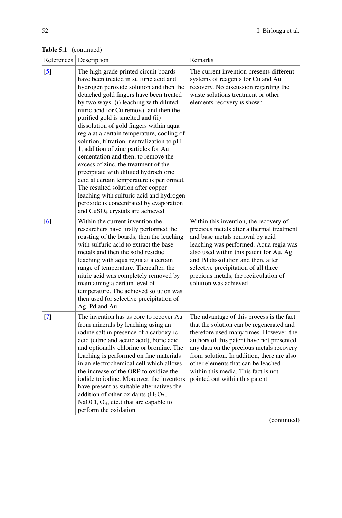| References        | Description                                                                                                                                                                                                                                                                                                                                                                                                                                                                                                                                                                                                                                                                                                                                                                                                                     | Remarks                                                                                                                                                                                                                                                                                                                                                                                |
|-------------------|---------------------------------------------------------------------------------------------------------------------------------------------------------------------------------------------------------------------------------------------------------------------------------------------------------------------------------------------------------------------------------------------------------------------------------------------------------------------------------------------------------------------------------------------------------------------------------------------------------------------------------------------------------------------------------------------------------------------------------------------------------------------------------------------------------------------------------|----------------------------------------------------------------------------------------------------------------------------------------------------------------------------------------------------------------------------------------------------------------------------------------------------------------------------------------------------------------------------------------|
| $\lceil 5 \rceil$ | The high grade printed circuit boards<br>have been treated in sulfuric acid and<br>hydrogen peroxide solution and then the<br>detached gold fingers have been treated<br>by two ways: (i) leaching with diluted<br>nitric acid for Cu removal and then the<br>purified gold is smelted and (ii)<br>dissolution of gold fingers within aqua<br>regia at a certain temperature, cooling of<br>solution, filtration, neutralization to pH<br>1, addition of zinc particles for Au<br>cementation and then, to remove the<br>excess of zinc, the treatment of the<br>precipitate with diluted hydrochloric<br>acid at certain temperature is performed.<br>The resulted solution after copper<br>leaching with sulfuric acid and hydrogen<br>peroxide is concentrated by evaporation<br>and CuSO <sub>4</sub> crystals are achieved | The current invention presents different<br>systems of reagents for Cu and Au<br>recovery. No discussion regarding the<br>waste solutions treatment or other<br>elements recovery is shown                                                                                                                                                                                             |
| [6]               | Within the current invention the<br>researchers have firstly performed the<br>roasting of the boards, then the leaching<br>with sulfuric acid to extract the base<br>metals and then the solid residue<br>leaching with aqua regia at a certain<br>range of temperature. Thereafter, the<br>nitric acid was completely removed by<br>maintaining a certain level of<br>temperature. The achieved solution was<br>then used for selective precipitation of<br>Ag, Pd and Au                                                                                                                                                                                                                                                                                                                                                      | Within this invention, the recovery of<br>precious metals after a thermal treatment<br>and base metals removal by acid<br>leaching was performed. Aqua regia was<br>also used within this patent for Au, Ag<br>and Pd dissolution and then, after<br>selective precipitation of all three<br>precious metals, the recirculation of<br>solution was achieved                            |
| $[7]$             | The invention has as core to recover Au<br>from minerals by leaching using an<br>iodine salt in presence of a carboxylic<br>acid (citric and acetic acid), boric acid<br>and optionally chlorine or bromine. The<br>leaching is performed on fine materials<br>in an electrochemical cell which allows<br>the increase of the ORP to oxidize the<br>iodide to iodine. Moreover, the inventors<br>have present as suitable alternatives the<br>addition of other oxidants $(H_2O_2)$ ,<br>NaOCl, $O_3$ , etc.) that are capable to<br>perform the oxidation                                                                                                                                                                                                                                                                      | The advantage of this process is the fact<br>that the solution can be regenerated and<br>therefore used many times. However, the<br>authors of this patent have not presented<br>any data on the precious metals recovery<br>from solution. In addition, there are also<br>other elements that can be leached<br>within this media. This fact is not<br>pointed out within this patent |

**Table 5.1** (continued)

(continued)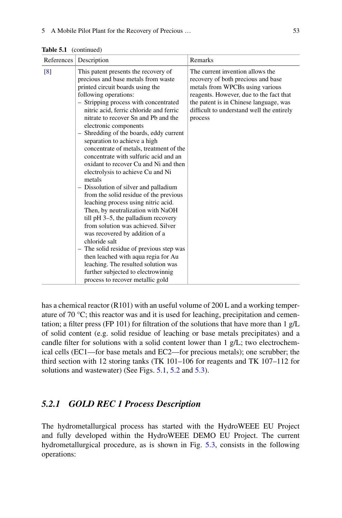| References        | Description                                                                                                                                                                                                                                                                                                                                                                                                                                                                                                                                                                                                                                                                                                                                                                                                                                                                                                                                                                                                                                             | Remarks                                                                                                                                                                                                                                                |
|-------------------|---------------------------------------------------------------------------------------------------------------------------------------------------------------------------------------------------------------------------------------------------------------------------------------------------------------------------------------------------------------------------------------------------------------------------------------------------------------------------------------------------------------------------------------------------------------------------------------------------------------------------------------------------------------------------------------------------------------------------------------------------------------------------------------------------------------------------------------------------------------------------------------------------------------------------------------------------------------------------------------------------------------------------------------------------------|--------------------------------------------------------------------------------------------------------------------------------------------------------------------------------------------------------------------------------------------------------|
| $\lceil 8 \rceil$ | This patent presents the recovery of<br>precious and base metals from waste<br>printed circuit boards using the<br>following operations:<br>- Stripping process with concentrated<br>nitric acid, ferric chloride and ferric<br>nitrate to recover Sn and Ph and the<br>electronic components<br>- Shredding of the boards, eddy current<br>separation to achieve a high<br>concentrate of metals, treatment of the<br>concentrate with sulfuric acid and an<br>oxidant to recover Cu and Ni and then<br>electrolysis to achieve Cu and Ni<br>metals<br>- Dissolution of silver and palladium<br>from the solid residue of the previous<br>leaching process using nitric acid.<br>Then, by neutralization with NaOH<br>till pH 3-5, the palladium recovery<br>from solution was achieved. Silver<br>was recovered by addition of a<br>chloride salt<br>- The solid residue of previous step was<br>then leached with aqua regia for Au<br>leaching. The resulted solution was<br>further subjected to electrowinnig<br>process to recover metallic gold | The current invention allows the<br>recovery of both precious and base<br>metals from WPCBs using various<br>reagents. However, due to the fact that<br>the patent is in Chinese language, was<br>difficult to understand well the entirely<br>process |

**Table 5.1** (continued)

has a chemical reactor (R101) with an useful volume of 200 L and a working temperature of 70  $\degree$ C; this reactor was and it is used for leaching, precipitation and cementation; a filter press (FP 101) for filtration of the solutions that have more than 1 g/L of solid content (e.g. solid residue of leaching or base metals precipitates) and a candle filter for solutions with a solid content lower than  $1 \frac{g}{L}$ ; two electrochemical cells (EC1—for base metals and EC2—for precious metals); one scrubber; the third section with 12 storing tanks (TK 101–106 for reagents and TK 107–112 for solutions and wastewater) (See Figs. [5.1,](#page-5-0) [5.2](#page-6-0) and [5.3\)](#page-7-0).

## *5.2.1 GOLD REC 1 Process Description*

The hydrometallurgical process has started with the HydroWEEE EU Project and fully developed within the HydroWEEE DEMO EU Project. The current hydrometallurgical procedure, as is shown in Fig. [5.3,](#page-7-0) consists in the following operations: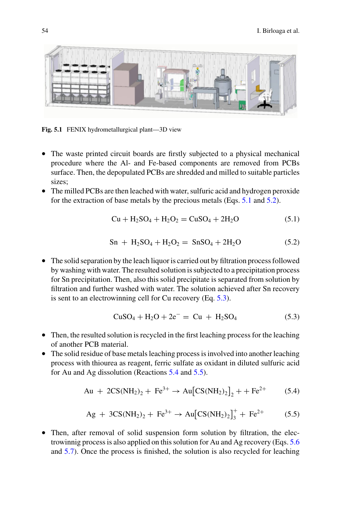

**Fig. 5.1** FENIX hydrometallurgical plant—3D view

- <span id="page-5-0"></span>• The waste printed circuit boards are firstly subjected to a physical mechanical procedure where the Al- and Fe-based components are removed from PCBs surface. Then, the depopulated PCBs are shredded and milled to suitable particles sizes;
- The milled PCBs are then leached with water, sulfuric acid and hydrogen peroxide for the extraction of base metals by the precious metals (Eqs. [5.1](#page-5-1) and [5.2\)](#page-5-2).

<span id="page-5-2"></span><span id="page-5-1"></span>
$$
Cu + H2SO4 + H2O2 = CuSO4 + 2H2O
$$
 (5.1)

$$
Sn + H2SO4 + H2O2 = SnSO4 + 2H2O
$$
 (5.2)

• The solid separation by the leach liquor is carried out by filtration process followed by washing with water. The resulted solution is subjected to a precipitation process for Sn precipitation. Then, also this solid precipitate is separated from solution by filtration and further washed with water. The solution achieved after Sn recovery is sent to an electrowinning cell for Cu recovery (Eq. [5.3\)](#page-5-3).

<span id="page-5-5"></span><span id="page-5-4"></span><span id="page-5-3"></span>
$$
CuSO_4 + H_2O + 2e^- = Cu + H_2SO_4 \tag{5.3}
$$

- Then, the resulted solution is recycled in the first leaching process for the leaching of another PCB material.
- The solid residue of base metals leaching process is involved into another leaching process with thiourea as reagent, ferric sulfate as oxidant in diluted sulfuric acid for Au and Ag dissolution (Reactions [5.4](#page-5-4) and [5.5\)](#page-5-5).

$$
Au + 2CS(NH_2)_2 + Fe^{3+} \to Au[CS(NH_2)_2]_2 + + Fe^{2+}
$$
 (5.4)

$$
Ag + 3CS(NH_2)_2 + Fe^{3+} \to Au [CS(NH_2)_2]_3^+ + Fe^{2+} \tag{5.5}
$$

• Then, after removal of solid suspension form solution by filtration, the electrowinnig process is also applied on this solution for Au and Ag recovery (Eqs. [5.6](#page-8-0) and [5.7\)](#page-8-1). Once the process is finished, the solution is also recycled for leaching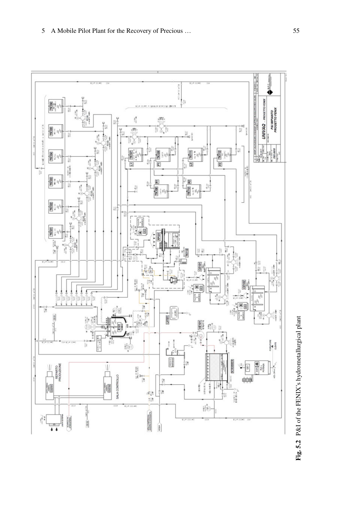<span id="page-6-0"></span>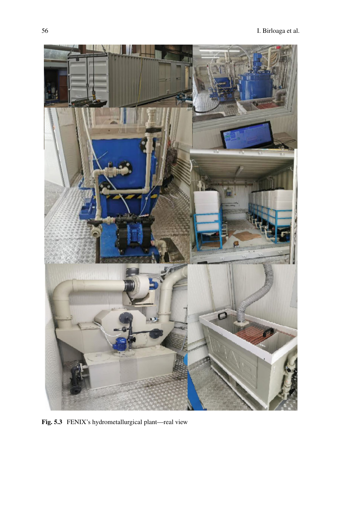<span id="page-7-0"></span>

**Fig. 5.3** FENIX's hydrometallurgical plant—real view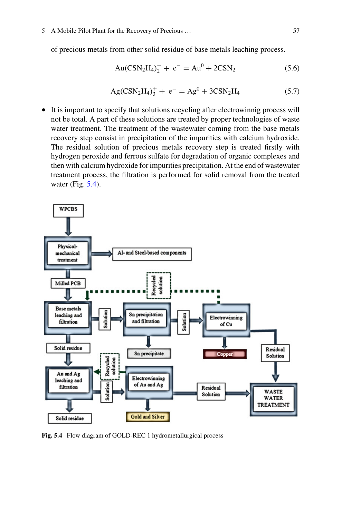of precious metals from other solid residue of base metals leaching process.

<span id="page-8-1"></span><span id="page-8-0"></span>
$$
Au(CSN2H4)2+ + e- = Au0 + 2CSN2
$$
 (5.6)

$$
Ag(CSN2H4)3+ + e- = Ag0 + 3CSN2H4
$$
 (5.7)

• It is important to specify that solutions recycling after electrowinnig process will not be total. A part of these solutions are treated by proper technologies of waste water treatment. The treatment of the wastewater coming from the base metals recovery step consist in precipitation of the impurities with calcium hydroxide. The residual solution of precious metals recovery step is treated firstly with hydrogen peroxide and ferrous sulfate for degradation of organic complexes and then with calcium hydroxide for impurities precipitation. At the end of wastewater treatment process, the filtration is performed for solid removal from the treated water (Fig.  $5.4$ ).



<span id="page-8-2"></span>**Fig. 5.4** Flow diagram of GOLD-REC 1 hydrometallurgical process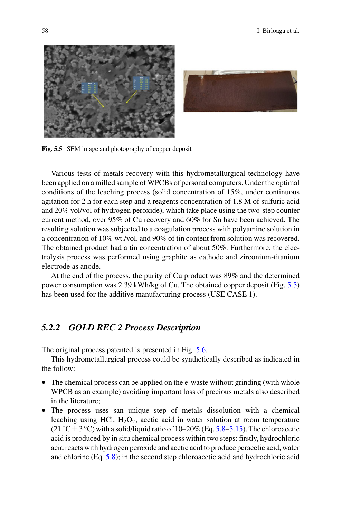



<span id="page-9-0"></span>**Fig. 5.5** SEM image and photography of copper deposit

Various tests of metals recovery with this hydrometallurgical technology have been applied on a milled sample of WPCBs of personal computers. Under the optimal conditions of the leaching process (solid concentration of 15%, under continuous agitation for 2 h for each step and a reagents concentration of 1.8 M of sulfuric acid and 20% vol/vol of hydrogen peroxide), which take place using the two-step counter current method, over 95% of Cu recovery and 60% for Sn have been achieved. The resulting solution was subjected to a coagulation process with polyamine solution in a concentration of 10% wt./vol. and 90% of tin content from solution was recovered. The obtained product had a tin concentration of about 50%. Furthermore, the electrolysis process was performed using graphite as cathode and zirconium-titanium electrode as anode.

At the end of the process, the purity of Cu product was 89% and the determined power consumption was 2.39 kWh/kg of Cu. The obtained copper deposit (Fig. [5.5\)](#page-9-0) has been used for the additive manufacturing process (USE CASE 1).

## *5.2.2 GOLD REC 2 Process Description*

The original process patented is presented in Fig. [5.6.](#page-10-0)

This hydrometallurgical process could be synthetically described as indicated in the follow:

- The chemical process can be applied on the e-waste without grinding (with whole WPCB as an example) avoiding important loss of precious metals also described in the literature;
- The process uses san unique step of metals dissolution with a chemical leaching using HCl,  $H_2O_2$ , acetic acid in water solution at room temperature (21 °C  $\pm$  3 °C) with a solid/liquid ratio of 10–20% (Eq. [5.8–](#page-10-1)[5.15\)](#page-11-0). The chloroacetic acid is produced by in situ chemical process within two steps: firstly, hydrochloric acid reacts with hydrogen peroxide and acetic acid to produce peracetic acid, water and chlorine (Eq. [5.8\)](#page-10-1); in the second step chloroacetic acid and hydrochloric acid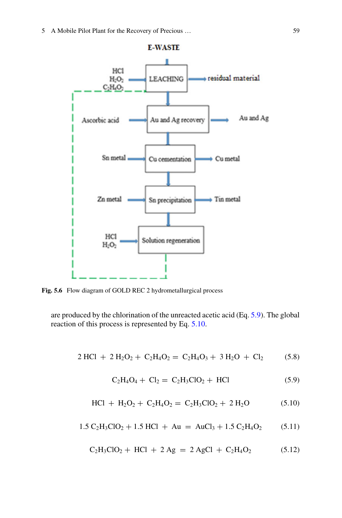

<span id="page-10-0"></span>**Fig. 5.6** Flow diagram of GOLD REC 2 hydrometallurgical process

are produced by the chlorination of the unreacted acetic acid (Eq. [5.9\)](#page-10-2). The global reaction of this process is represented by Eq. [5.10.](#page-10-3)

$$
2 \text{ HCl} + 2 \text{ H}_2\text{O}_2 + \text{ C}_2\text{H}_4\text{O}_2 = \text{ C}_2\text{H}_4\text{O}_3 + 3 \text{ H}_2\text{O} + \text{ Cl}_2 \tag{5.8}
$$

<span id="page-10-3"></span><span id="page-10-2"></span><span id="page-10-1"></span>
$$
C_2H_4O_4 + Cl_2 = C_2H_3ClO_2 + HCl
$$
 (5.9)

$$
HCl + H_2O_2 + C_2H_4O_2 = C_2H_3ClO_2 + 2H_2O \qquad (5.10)
$$

$$
1.5 C_2H_3ClO_2 + 1.5 HCl + Au = AuCl_3 + 1.5 C_2H_4O_2 \qquad (5.11)
$$

$$
C_2H_3ClO_2 + HCl + 2 Ag = 2 AgCl + C_2H_4O_2 \qquad (5.12)
$$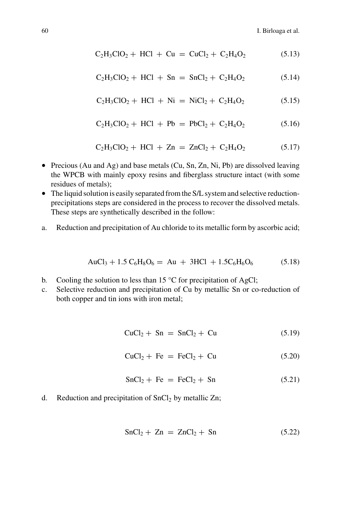$$
C_2H_3ClO_2 + HCl + Cu = CuCl_2 + C_2H_4O_2 \qquad (5.13)
$$

$$
C_2H_3ClO_2 + HCl + Sn = SnCl_2 + C_2H_4O_2 \tag{5.14}
$$

<span id="page-11-0"></span>
$$
C_2H_3ClO_2 + HCl + Ni = NiCl_2 + C_2H_4O_2 \tag{5.15}
$$

$$
C_2H_3ClO_2 + HCl + Pb = PbCl_2 + C_2H_4O_2 \tag{5.16}
$$

$$
C_2H_3ClO_2 + HCl + Zn = ZnCl_2 + C_2H_4O_2 \qquad (5.17)
$$

- Precious (Au and Ag) and base metals (Cu, Sn, Zn, Ni, Pb) are dissolved leaving the WPCB with mainly epoxy resins and fiberglass structure intact (with some residues of metals);
- The liquid solution is easily separated from the S/L system and selective reductionprecipitations steps are considered in the process to recover the dissolved metals. These steps are synthetically described in the follow:
- a. Reduction and precipitation of Au chloride to its metallic form by ascorbic acid;

$$
AuCl_3 + 1.5 C_6H_8O_6 = Au + 3HCl + 1.5C_6H_6O_6 \tag{5.18}
$$

- b. Cooling the solution to less than 15  $\degree$ C for precipitation of AgCl;
- c. Selective reduction and precipitation of Cu by metallic Sn or co-reduction of both copper and tin ions with iron metal;

$$
CuCl2 + Sn = SnCl2 + Cu \qquad (5.19)
$$

$$
CuCl2 + Fe = FeCl2 + Cu
$$
 (5.20)

$$
SnCl2 + Fe = FeCl2 + Sn
$$
 (5.21)

d. Reduction and precipitation of  $SnCl<sub>2</sub>$  by metallic Zn;

$$
SnCl2 + Zn = ZnCl2 + Sn \qquad (5.22)
$$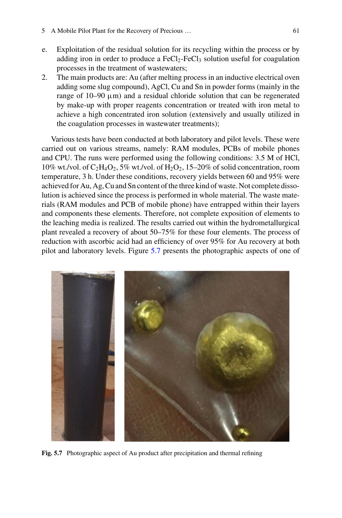- 5 A Mobile Pilot Plant for the Recovery of Precious … 61
- e. Exploitation of the residual solution for its recycling within the process or by adding iron in order to produce a  $FeCl<sub>2</sub>-FeCl<sub>3</sub>$  solution useful for coagulation processes in the treatment of wastewaters;
- 2. The main products are: Au (after melting process in an inductive electrical oven adding some slug compound), AgCl, Cu and Sn in powder forms (mainly in the range of  $10-90 \mu m$ ) and a residual chloride solution that can be regenerated by make-up with proper reagents concentration or treated with iron metal to achieve a high concentrated iron solution (extensively and usually utilized in the coagulation processes in wastewater treatments);

Various tests have been conducted at both laboratory and pilot levels. These were carried out on various streams, namely: RAM modules, PCBs of mobile phones and CPU. The runs were performed using the following conditions: 3.5 M of HCl, 10% wt./vol. of  $C_2H_4O_2$ , 5% wt./vol. of  $H_2O_2$ , 15–20% of solid concentration, room temperature, 3 h. Under these conditions, recovery yields between 60 and 95% were achieved for Au, Ag, Cu and Sn content of the three kind of waste. Not complete dissolution is achieved since the process is performed in whole material. The waste materials (RAM modules and PCB of mobile phone) have entrapped within their layers and components these elements. Therefore, not complete exposition of elements to the leaching media is realized. The results carried out within the hydrometallurgical plant revealed a recovery of about 50–75% for these four elements. The process of reduction with ascorbic acid had an efficiency of over 95% for Au recovery at both pilot and laboratory levels. Figure [5.7](#page-12-0) presents the photographic aspects of one of

<span id="page-12-0"></span>

**Fig. 5.7** Photographic aspect of Au product after precipitation and thermal refining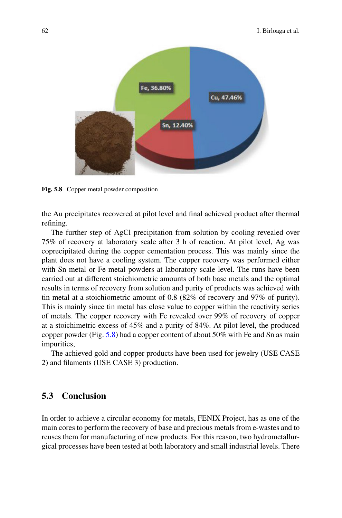

<span id="page-13-0"></span>**Fig. 5.8** Copper metal powder composition

the Au precipitates recovered at pilot level and final achieved product after thermal refining.

The further step of AgCl precipitation from solution by cooling revealed over 75% of recovery at laboratory scale after 3 h of reaction. At pilot level, Ag was coprecipitated during the copper cementation process. This was mainly since the plant does not have a cooling system. The copper recovery was performed either with Sn metal or Fe metal powders at laboratory scale level. The runs have been carried out at different stoichiometric amounts of both base metals and the optimal results in terms of recovery from solution and purity of products was achieved with tin metal at a stoichiometric amount of 0.8 (82% of recovery and 97% of purity). This is mainly since tin metal has close value to copper within the reactivity series of metals. The copper recovery with Fe revealed over 99% of recovery of copper at a stoichimetric excess of 45% and a purity of 84%. At pilot level, the produced copper powder (Fig. [5.8\)](#page-13-0) had a copper content of about 50% with Fe and Sn as main impurities,

The achieved gold and copper products have been used for jewelry (USE CASE 2) and filaments (USE CASE 3) production.

#### **5.3 Conclusion**

In order to achieve a circular economy for metals, FENIX Project, has as one of the main cores to perform the recovery of base and precious metals from e-wastes and to reuses them for manufacturing of new products. For this reason, two hydrometallurgical processes have been tested at both laboratory and small industrial levels. There